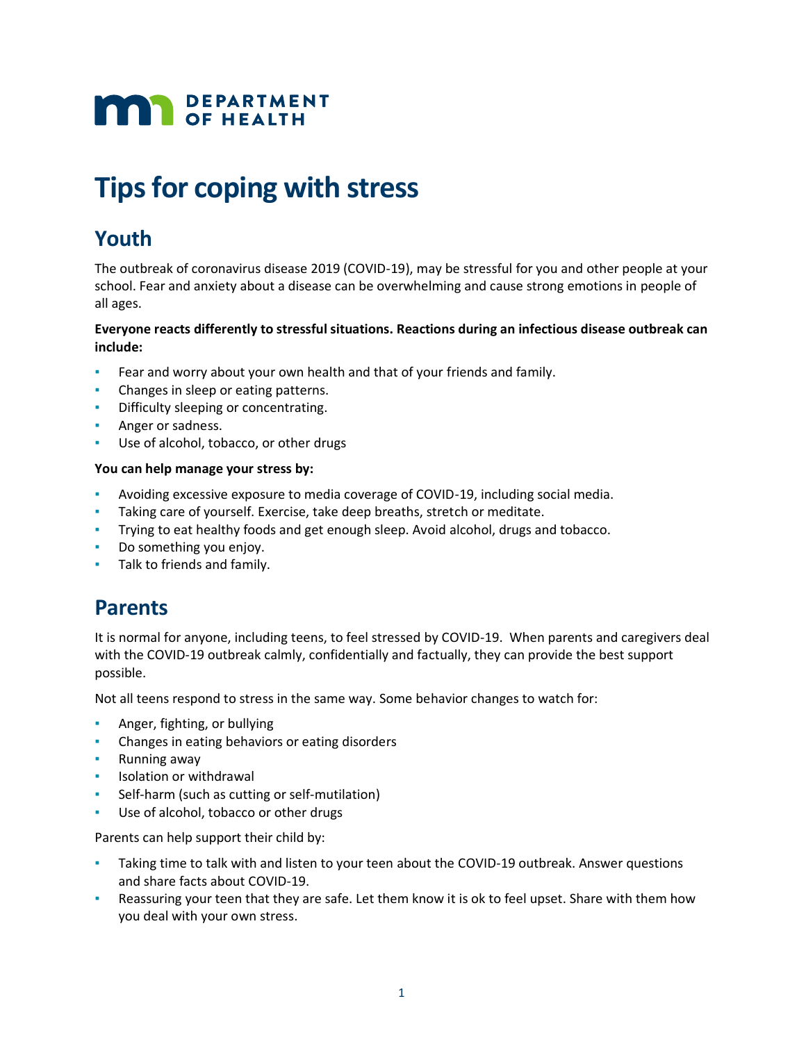# **MAR** DEPARTMENT

## **Tips for coping with stress**

## **Youth**

The outbreak of coronavirus disease 2019 (COVID-19), may be stressful for you and other people at your school. Fear and anxiety about a disease can be overwhelming and cause strong emotions in people of all ages.

#### **Everyone reacts differently to stressful situations. Reactions during an infectious disease outbreak can include:**

- Fear and worry about your own health and that of your friends and family.
- Changes in sleep or eating patterns.
- **•** Difficulty sleeping or concentrating.
- **•** Anger or sadness.
- Use of alcohol, tobacco, or other drugs

#### **You can help manage your stress by:**

- Avoiding excessive exposure to media coverage of COVID-19, including social media.
- Taking care of yourself. Exercise, take deep breaths, stretch or meditate.
- Trying to eat healthy foods and get enough sleep. Avoid alcohol, drugs and tobacco.
- Do something you enjoy.
- **·** Talk to friends and family.

## **Parents**

It is normal for anyone, including teens, to feel stressed by COVID-19. When parents and caregivers deal with the COVID-19 outbreak calmly, confidentially and factually, they can provide the best support possible.

Not all teens respond to stress in the same way. Some behavior changes to watch for:

- Anger, fighting, or bullying
- **•** Changes in eating behaviors or eating disorders
- Running away
- **•** Isolation or withdrawal
- Self-harm (such as cutting or self-mutilation)
- Use of alcohol, tobacco or other drugs

Parents can help support their child by:

- Taking time to talk with and listen to your teen about the COVID-19 outbreak. Answer questions and share facts about COVID-19.
- **EXE** Reassuring your teen that they are safe. Let them know it is ok to feel upset. Share with them how you deal with your own stress.